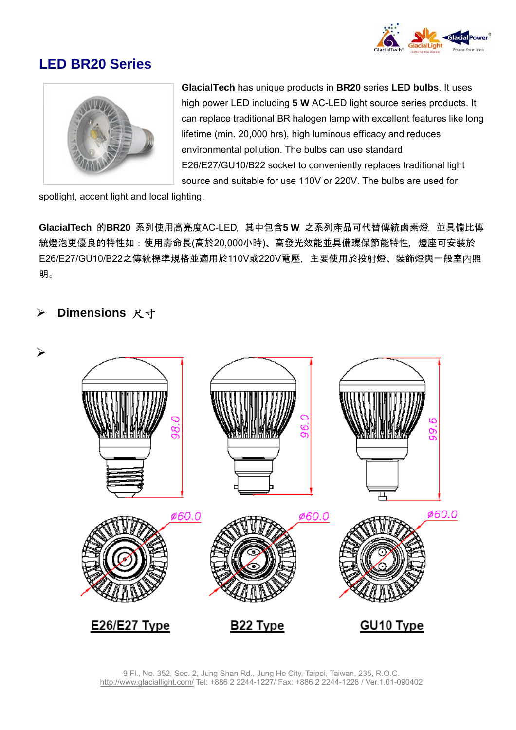

## **LED BR20 Series**



**GlacialTech** has unique products in **BR20** series **LED bulbs**. It uses high power LED including **5 W** AC-LED light source series products. It can replace traditional BR halogen lamp with excellent features like long lifetime (min. 20,000 hrs), high luminous efficacy and reduces environmental pollution. The bulbs can use standard E26/E27/GU10/B22 socket to conveniently replaces traditional light source and suitable for use 110V or 220V. The bulbs are used for

spotlight, accent light and local lighting.

**GlacialTech** 的**BR20** 系列使用高亮度AC-LED,其中包含**5 W** 之系列產品可代替傳統鹵素燈,並具備比傳 統燈泡更優良的特性如:使用壽命長(高於20,000小時)、高發光效能並具備環保節能特性, 燈座可安裝於 E26/E27/GU10/B22之傳統標準規格並適用於110V或220V電壓,主要使用於投射燈、裝飾燈與一般室內照 明。

## ¾ **Dimensions** 尺寸